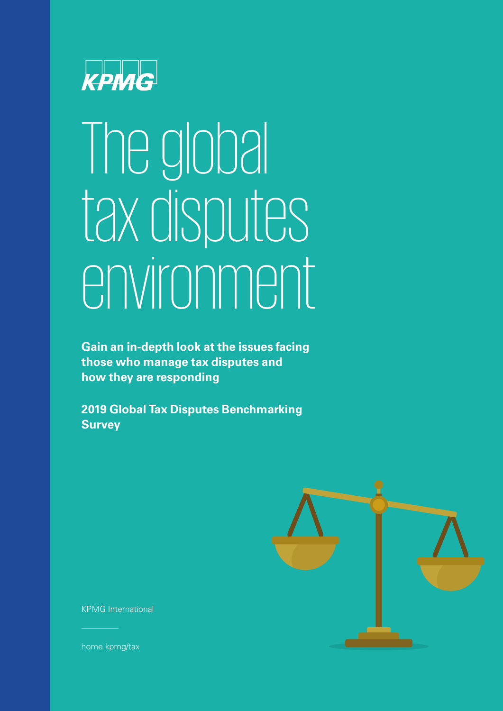

# The global tax disputes environment

**Gain an in-depth look at the issues facing those who manage tax disputes and how they are responding**

**2019 Global Tax Disputes Benchmarking Survey**



KPMG International

[home.kpmg/tax](www.home.kpmg/tax)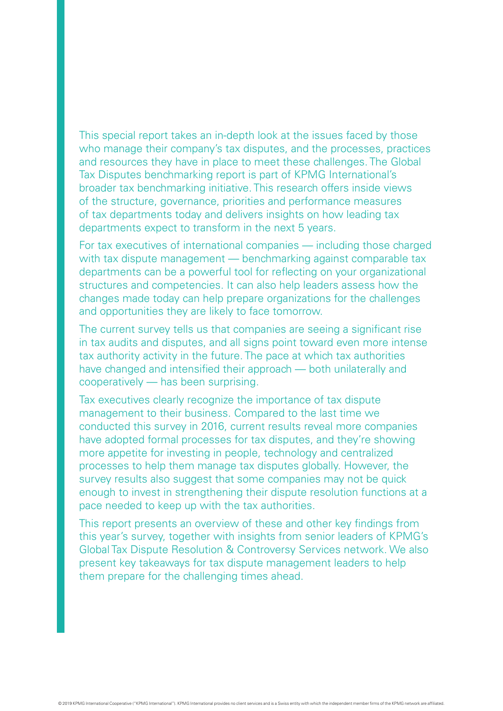This special report takes an in-depth look at the issues faced by those who manage their company's tax disputes, and the processes, practices and resources they have in place to meet these challenges. The Global Tax Disputes benchmarking report is part of KPMG International's broader tax benchmarking initiative. This research offers inside views of the structure, governance, priorities and performance measures of tax departments today and delivers insights on how leading tax departments expect to transform in the next 5 years.

For tax executives of international companies — including those charged with tax dispute management — benchmarking against comparable tax departments can be a powerful tool for reflecting on your organizational structures and competencies. It can also help leaders assess how the changes made today can help prepare organizations for the challenges and opportunities they are likely to face tomorrow.

The current survey tells us that companies are seeing a significant rise in tax audits and disputes, and all signs point toward even more intense tax authority activity in the future. The pace at which tax authorities have changed and intensified their approach — both unilaterally and cooperatively — has been surprising.

Tax executives clearly recognize the importance of tax dispute management to their business. Compared to the last time we conducted this survey in 2016, current results reveal more companies have adopted formal processes for tax disputes, and they're showing more appetite for investing in people, technology and centralized processes to help them manage tax disputes globally. However, the survey results also suggest that some companies may not be quick enough to invest in strengthening their dispute resolution functions at a pace needed to keep up with the tax authorities.

This report presents an overview of these and other key findings from this year's survey, together with insights from senior leaders of KPMG's Global Tax Dispute Resolution & Controversy Services network. We also present key takeaways for tax dispute management leaders to help them prepare for the challenging times ahead.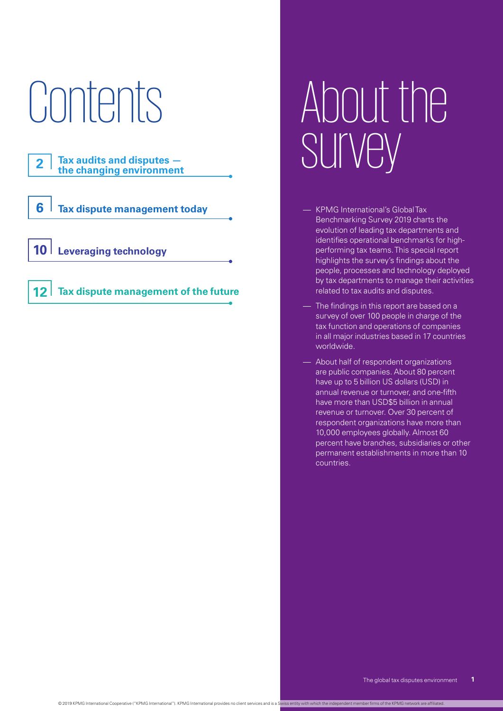## Contents

**2**

**6**

**Tax audits and disputes the changing environment**

**Tax dispute management today**

**Leveraging technology 10**

**Tax dispute management of the future 12**

### About the survey

- KPMG International's Global Tax Benchmarking Survey 2019 charts the evolution of leading tax departments and identifies operational benchmarks for highperforming tax teams. This special report highlights the survey's findings about the people, processes and technology deployed by tax departments to manage their activities related to tax audits and disputes.
- The findings in this report are based on a survey of over 100 people in charge of the tax function and operations of companies in all major industries based in 17 countries worldwide.
- About half of respondent organizations are public companies. About 80 percent have up to 5 billion US dollars (USD) in annual revenue or turnover, and one-fifth have more than USD\$5 billion in annual revenue or turnover. Over 30 percent of respondent organizations have more than 10,000 employees globally. Almost 60 percent have branches, subsidiaries or other permanent establishments in more than 10 countries.

© 2019 KPMG International Cooperative ("KPMG International"). KPMG International provides no client services and is a Swiss entity with which the independent member firms of the KPMG network are affiliated.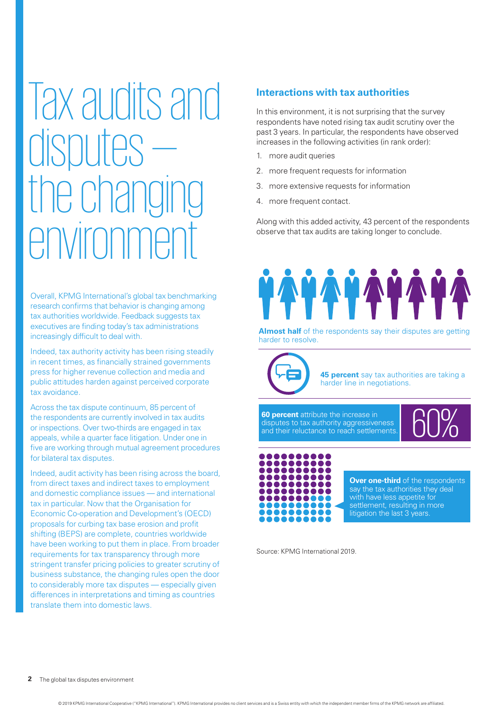Tax audits and isni ites the chang environme

Overall, KPMG International's global tax benchmarking research confirms that behavior is changing among tax authorities worldwide. Feedback suggests tax executives are finding today's tax administrations increasingly difficult to deal with.

Indeed, tax authority activity has been rising steadily in recent times, as financially strained governments press for higher revenue collection and media and public attitudes harden against perceived corporate tax avoidance.

Across the tax dispute continuum, 85 percent of the respondents are currently involved in tax audits or inspections. Over two-thirds are engaged in tax appeals, while a quarter face litigation. Under one in five are working through mutual agreement procedures for bilateral tax disputes.

Indeed, audit activity has been rising across the board, from direct taxes and indirect taxes to employment and domestic compliance issues — and international tax in particular. Now that the Organisation for Economic Co-operation and Development's (OECD) proposals for curbing tax base erosion and profit shifting (BEPS) are complete, countries worldwide have been working to put them in place. From broader requirements for tax transparency through more stringent transfer pricing policies to greater scrutiny of business substance, the changing rules open the door to considerably more tax disputes — especially given differences in interpretations and timing as countries translate them into domestic laws.

#### **Interactions with tax authorities**

In this environment, it is not surprising that the survey respondents have noted rising tax audit scrutiny over the past 3 years. In particular, the respondents have observed increases in the following activities (in rank order):

- 1. more audit queries
- 2. more frequent requests for information
- 3. more extensive requests for information
- 4. more frequent contact.

Along with this added activity, 43 percent of the respondents observe that tax audits are taking longer to conclude.



**Almost half** of the respondents say their disputes are getting harder to resolve.

**45 percent** say tax authorities are taking a harder line in negotiations.

**60 percent** attribute the increase in disputes to tax authority aggressiveness and their reluctance to reach settlements





**Over one-third** of the respondents say the tax authorities they deal with have less appetite for settlement, resulting in more litigation the last 3 years.

Source: KPMG International 2019.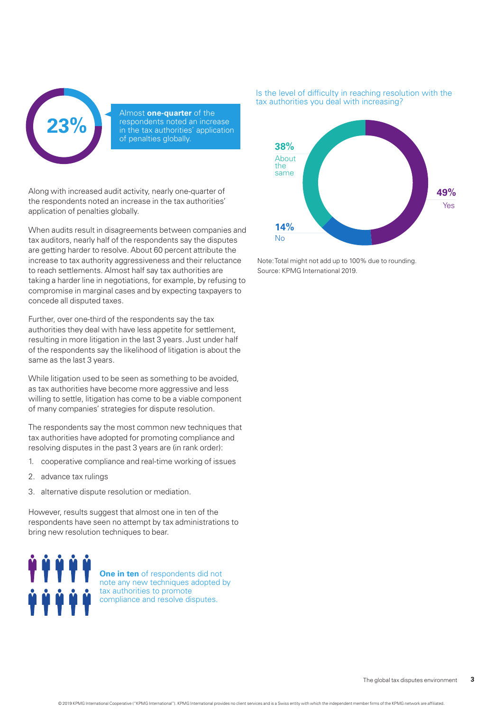

Almost **one-quarter** of the respondents noted an increase in the tax authorities' application of penalties globally.

Along with increased audit activity, nearly one-quarter of the respondents noted an increase in the tax authorities' application of penalties globally.

When audits result in disagreements between companies and tax auditors, nearly half of the respondents say the disputes are getting harder to resolve. About 60 percent attribute the increase to tax authority aggressiveness and their reluctance to reach settlements. Almost half say tax authorities are taking a harder line in negotiations, for example, by refusing to compromise in marginal cases and by expecting taxpayers to concede all disputed taxes.

Further, over one-third of the respondents say the tax authorities they deal with have less appetite for settlement, resulting in more litigation in the last 3 years. Just under half of the respondents say the likelihood of litigation is about the same as the last 3 years.

While litigation used to be seen as something to be avoided, as tax authorities have become more aggressive and less willing to settle, litigation has come to be a viable component of many companies' strategies for dispute resolution.

The respondents say the most common new techniques that tax authorities have adopted for promoting compliance and resolving disputes in the past 3 years are (in rank order):

- 1. cooperative compliance and real-time working of issues
- 2. advance tax rulings
- 3. alternative dispute resolution or mediation.

However, results suggest that almost one in ten of the respondents have seen no attempt by tax administrations to bring new resolution techniques to bear.



**One in ten** of respondents did not note any new techniques adopted by tax authorities to promote compliance and resolve disputes.

Is the level of difficulty in reaching resolution with the tax authorities you deal with increasing?



Note: Total might not add up to 100% due to rounding.<br>Consider the last proceeding the last proceeding the last process during the last process during the last proce Source: KPMG International 2019.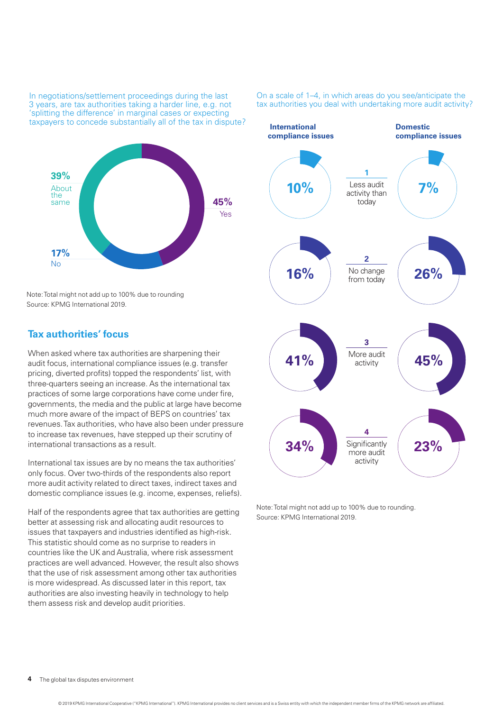In negotiations/settlement proceedings during the last 3 years, are tax authorities taking a harder line, e.g. not 'splitting the difference' in marginal cases or expecting taxpayers to concede substantially all of the tax in dispute?



Note: Total might not add up to 100% due to rounding Source: KPMG International 2019.

#### **Tax authorities' focus**

When asked where tax authorities are sharpening their audit focus, international compliance issues (e.g. transfer pricing, diverted profits) topped the respondents' list, with three-quarters seeing an increase. As the international tax practices of some large corporations have come under fire, governments, the media and the public at large have become much more aware of the impact of BEPS on countries' tax revenues. Tax authorities, who have also been under pressure to increase tax revenues, have stepped up their scrutiny of international transactions as a result.

International tax issues are by no means the tax authorities' only focus. Over two-thirds of the respondents also report more audit activity related to direct taxes, indirect taxes and domestic compliance issues (e.g. income, expenses, reliefs).

Half of the respondents agree that tax authorities are getting better at assessing risk and allocating audit resources to issues that taxpayers and industries identified as high-risk. This statistic should come as no surprise to readers in countries like the UK and Australia, where risk assessment practices are well advanced. However, the result also shows that the use of risk assessment among other tax authorities is more widespread. As discussed later in this report, tax authorities are also investing heavily in technology to help them assess risk and develop audit priorities.



**34% 23%**

**Significantly** more audit activity

Note: Total might not add up to 100% due to rounding. Source: KPMG International 2019.

On a scale of 1–4, in which areas do you see/anticipate the tax authorities you deal with undertaking more audit activity?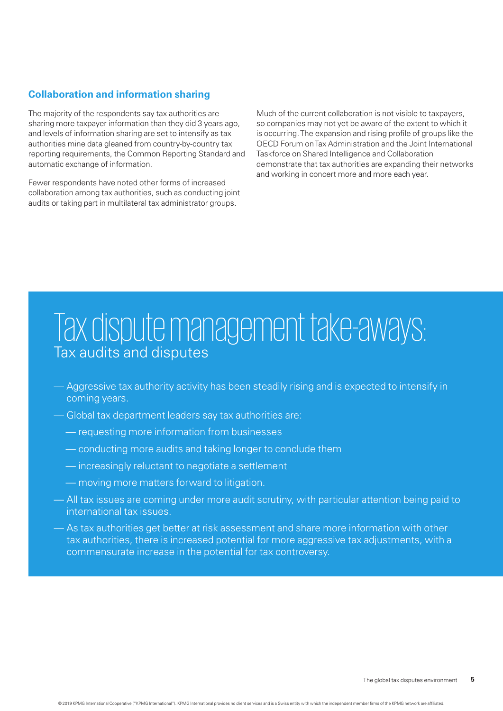#### **Collaboration and information sharing**

The majority of the respondents say tax authorities are sharing more taxpayer information than they did 3 years ago, and levels of information sharing are set to intensify as tax authorities mine data gleaned from country-by-country tax reporting requirements, the Common Reporting Standard and automatic exchange of information.

Fewer respondents have noted other forms of increased collaboration among tax authorities, such as conducting joint audits or taking part in multilateral tax administrator groups.

Much of the current collaboration is not visible to taxpayers, so companies may not yet be aware of the extent to which it is occurring. The expansion and rising profile of groups like the OECD Forum on Tax Administration and the Joint International Taskforce on Shared Intelligence and Collaboration demonstrate that tax authorities are expanding their networks and working in concert more and more each year.

### Tax dispute management take-aways: Tax audits and disputes

- Aggressive tax authority activity has been steadily rising and is expected to intensify in coming years.
- Global tax department leaders say tax authorities are:
	- requesting more information from businesses
	- conducting more audits and taking longer to conclude them
	- increasingly reluctant to negotiate a settlement
	- moving more matters forward to litigation.
- All tax issues are coming under more audit scrutiny, with particular attention being paid to international tax issues.
- As tax authorities get better at risk assessment and share more information with other tax authorities, there is increased potential for more aggressive tax adjustments, with a commensurate increase in the potential for tax controversy.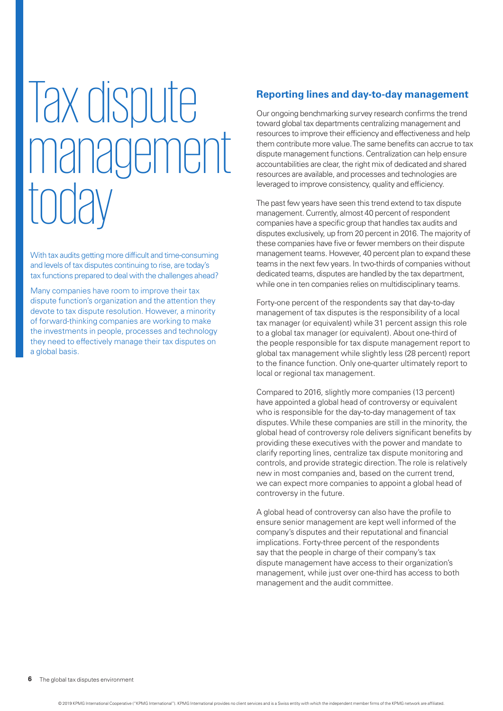### Tax dispute management today

With tax audits getting more difficult and time-consuming and levels of tax disputes continuing to rise, are today's tax functions prepared to deal with the challenges ahead?

Many companies have room to improve their tax dispute function's organization and the attention they devote to tax dispute resolution. However, a minority of forward-thinking companies are working to make the investments in people, processes and technology they need to effectively manage their tax disputes on a global basis.

#### **Reporting lines and day-to-day management**

Our ongoing benchmarking survey research confirms the trend toward global tax departments centralizing management and resources to improve their efficiency and effectiveness and help them contribute more value. The same benefits can accrue to tax dispute management functions. Centralization can help ensure accountabilities are clear, the right mix of dedicated and shared resources are available, and processes and technologies are leveraged to improve consistency, quality and efficiency.

The past few years have seen this trend extend to tax dispute management. Currently, almost 40 percent of respondent companies have a specific group that handles tax audits and disputes exclusively, up from 20 percent in 2016. The majority of these companies have five or fewer members on their dispute management teams. However, 40 percent plan to expand these teams in the next few years. In two-thirds of companies without dedicated teams, disputes are handled by the tax department, while one in ten companies relies on multidisciplinary teams.

Forty-one percent of the respondents say that day-to-day management of tax disputes is the responsibility of a local tax manager (or equivalent) while 31 percent assign this role to a global tax manager (or equivalent). About one-third of the people responsible for tax dispute management report to global tax management while slightly less (28 percent) report to the finance function. Only one-quarter ultimately report to local or regional tax management.

Compared to 2016, slightly more companies (13 percent) have appointed a global head of controversy or equivalent who is responsible for the day-to-day management of tax disputes. While these companies are still in the minority, the global head of controversy role delivers significant benefits by providing these executives with the power and mandate to clarify reporting lines, centralize tax dispute monitoring and controls, and provide strategic direction. The role is relatively new in most companies and, based on the current trend, we can expect more companies to appoint a global head of controversy in the future.

A global head of controversy can also have the profile to ensure senior management are kept well informed of the company's disputes and their reputational and financial implications. Forty-three percent of the respondents say that the people in charge of their company's tax dispute management have access to their organization's management, while just over one-third has access to both management and the audit committee.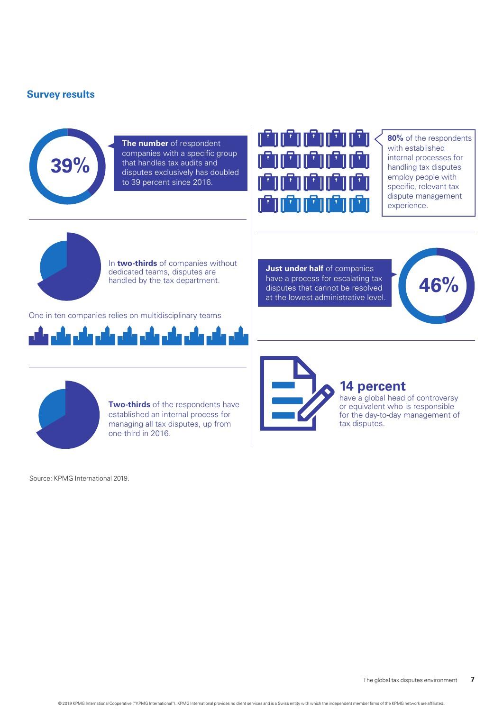#### **Survey results**



**The number** of respondent companies with a specific group that handles tax audits and disputes exclusively has doubled to 39 percent since 2016.



**80%** of the respondents with established internal processes for handling tax disputes employ people with specific, relevant tax dispute management experience.



In **two-thirds** of companies without dedicated teams, disputes are handled by the tax department.

One in ten companies relies on multidisciplinary teams



**Just under half** of companies have a process for escalating tax disputes that cannot be resolved at the lowest administrative level.





**Two-thirds** of the respondents have established an internal process for managing all tax disputes, up from one-third in 2016.

Source: KPMG International 2019.



#### **14 percent**

have a global head of controversy or equivalent who is responsible for the day-to-day management of tax disputes.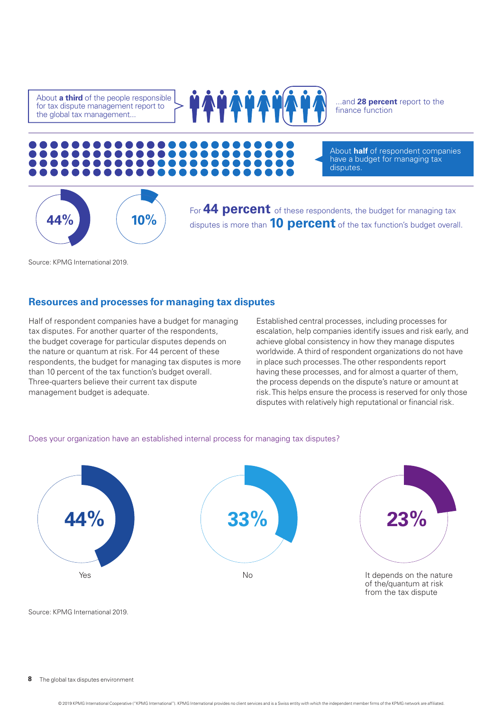About **a third** of the people responsible for tax dispute management report to the global tax management...



...and **28 percent** report to the finance function

About **half** of respondent companies have a budget for managing tax disputes.



For **44 percent** of these respondents, the budget for managing tax disputes is more than **10 percent** of the tax function's budget overall.

Source: KPMG International 2019.

#### **Resources and processes for managing tax disputes**

Half of respondent companies have a budget for managing tax disputes. For another quarter of the respondents, the budget coverage for particular disputes depends on the nature or quantum at risk. For 44 percent of these respondents, the budget for managing tax disputes is more than 10 percent of the tax function's budget overall. Three-quarters believe their current tax dispute management budget is adequate.

Established central processes, including processes for escalation, help companies identify issues and risk early, and achieve global consistency in how they manage disputes worldwide. A third of respondent organizations do not have in place such processes. The other respondents report having these processes, and for almost a quarter of them, the process depends on the dispute's nature or amount at risk. This helps ensure the process is reserved for only those disputes with relatively high reputational or financial risk.

#### Does your organization have an established internal process for managing tax disputes?







of the/quantum at risk from the tax dispute

Source: KPMG International 2019.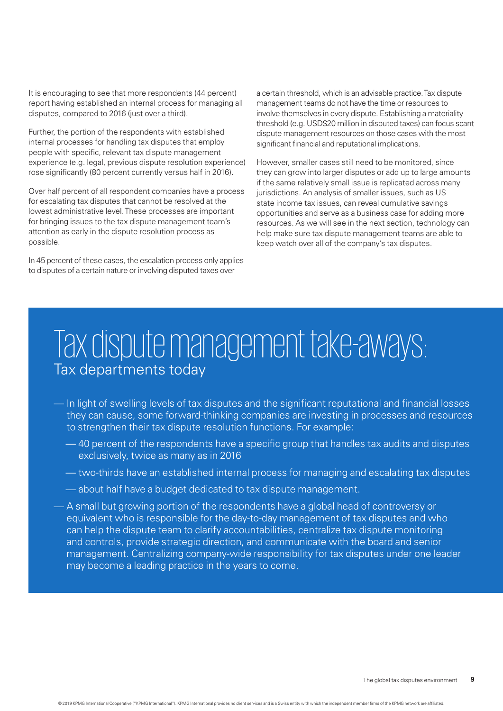It is encouraging to see that more respondents (44 percent) report having established an internal process for managing all disputes, compared to 2016 (just over a third).

Further, the portion of the respondents with established internal processes for handling tax disputes that employ people with specific, relevant tax dispute management experience (e.g. legal, previous dispute resolution experience) rose significantly (80 percent currently versus half in 2016).

Over half percent of all respondent companies have a process for escalating tax disputes that cannot be resolved at the lowest administrative level. These processes are important for bringing issues to the tax dispute management team's attention as early in the dispute resolution process as possible.

In 45 percent of these cases, the escalation process only applies to disputes of a certain nature or involving disputed taxes over

a certain threshold, which is an advisable practice. Tax dispute management teams do not have the time or resources to involve themselves in every dispute. Establishing a materiality threshold (e.g. USD\$20 million in disputed taxes) can focus scant dispute management resources on those cases with the most significant financial and reputational implications.

However, smaller cases still need to be monitored, since they can grow into larger disputes or add up to large amounts if the same relatively small issue is replicated across many jurisdictions. An analysis of smaller issues, such as US state income tax issues, can reveal cumulative savings opportunities and serve as a business case for adding more resources. As we will see in the next section, technology can help make sure tax dispute management teams are able to keep watch over all of the company's tax disputes.

### Tax dispute management take-aways: Tax departments today

- In light of swelling levels of tax disputes and the significant reputational and financial losses they can cause, some forward-thinking companies are investing in processes and resources to strengthen their tax dispute resolution functions. For example:
	- 40 percent of the respondents have a specific group that handles tax audits and disputes exclusively, twice as many as in 2016
	- two-thirds have an established internal process for managing and escalating tax disputes
	- about half have a budget dedicated to tax dispute management.
- A small but growing portion of the respondents have a global head of controversy or equivalent who is responsible for the day-to-day management of tax disputes and who can help the dispute team to clarify accountabilities, centralize tax dispute monitoring and controls, provide strategic direction, and communicate with the board and senior management. Centralizing company-wide responsibility for tax disputes under one leader may become a leading practice in the years to come.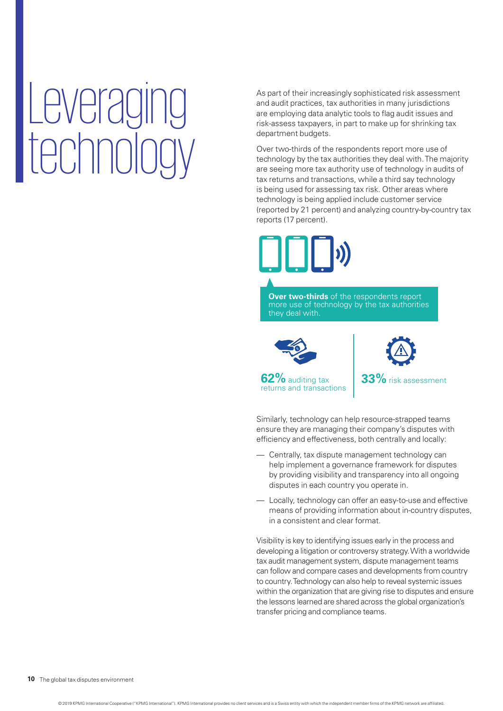## Leveraging technology

As part of their increasingly sophisticated risk assessment and audit practices, tax authorities in many jurisdictions are employing data analytic tools to flag audit issues and risk-assess taxpayers, in part to make up for shrinking tax department budgets.

Over two-thirds of the respondents report more use of technology by the tax authorities they deal with. The majority are seeing more tax authority use of technology in audits of tax returns and transactions, while a third say technology is being used for assessing tax risk. Other areas where technology is being applied include customer service (reported by 21 percent) and analyzing country-by-country tax reports (17 percent).

# **Over two-thirds** of the respondents report

more use of technology by the tax authorities they deal with.



**33%** risk assessment

**62%** auditing tax returns and transactions

Similarly, technology can help resource-strapped teams ensure they are managing their company's disputes with

— Centrally, tax dispute management technology can help implement a governance framework for disputes by providing visibility and transparency into all ongoing disputes in each country you operate in.

efficiency and effectiveness, both centrally and locally:

— Locally, technology can offer an easy-to-use and effective means of providing information about in-country disputes, in a consistent and clear format.

Visibility is key to identifying issues early in the process and developing a litigation or controversy strategy. With a worldwide tax audit management system, dispute management teams can follow and compare cases and developments from country to country. Technology can also help to reveal systemic issues within the organization that are giving rise to disputes and ensure the lessons learned are shared across the global organization's transfer pricing and compliance teams.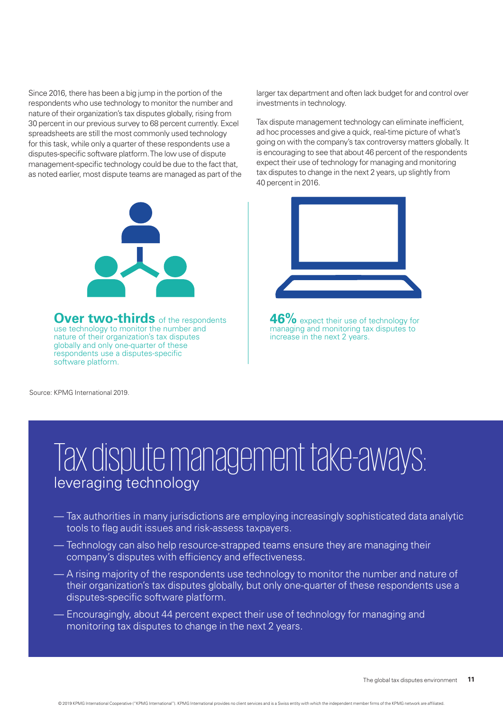Since 2016, there has been a big jump in the portion of the respondents who use technology to monitor the number and nature of their organization's tax disputes globally, rising from 30 percent in our previous survey to 68 percent currently. Excel spreadsheets are still the most commonly used technology for this task, while only a quarter of these respondents use a disputes-specific software platform. The low use of dispute management-specific technology could be due to the fact that, as noted earlier, most dispute teams are managed as part of the



**Over two-thirds** of the respondents use technology to monitor the number and nature of their organization's tax disputes globally and only one-quarter of these respondents use a disputes-specific software platform.

larger tax department and often lack budget for and control over investments in technology.

Tax dispute management technology can eliminate inefficient, ad hoc processes and give a quick, real-time picture of what's going on with the company's tax controversy matters globally. It is encouraging to see that about 46 percent of the respondents expect their use of technology for managing and monitoring tax disputes to change in the next 2 years, up slightly from 40 percent in 2016.





Source: KPMG International 2019.

### Tax dispute management take-aways: leveraging technology

- Tax authorities in many jurisdictions are employing increasingly sophisticated data analytic tools to flag audit issues and risk-assess taxpayers.
- Technology can also help resource-strapped teams ensure they are managing their company's disputes with efficiency and effectiveness.
- A rising majority of the respondents use technology to monitor the number and nature of their organization's tax disputes globally, but only one-quarter of these respondents use a disputes-specific software platform.
- Encouragingly, about 44 percent expect their use of technology for managing and monitoring tax disputes to change in the next 2 years.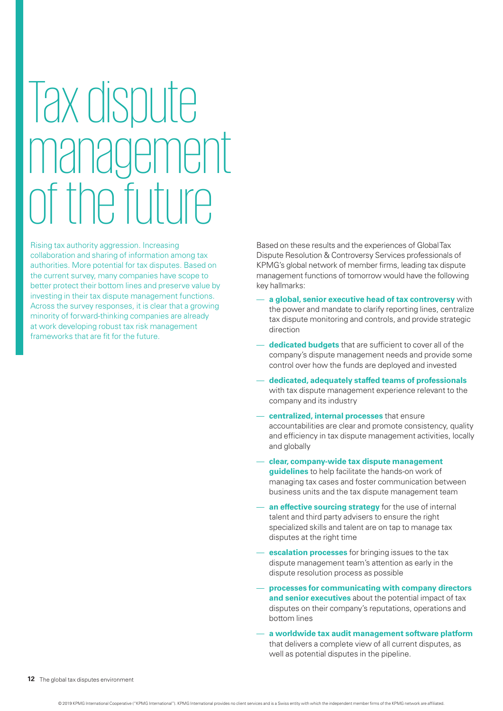### Tax dispute management  $\int f \mid \int f \mid \int f \mid \int f \mid$

Rising tax authority aggression. Increasing collaboration and sharing of information among tax authorities. More potential for tax disputes. Based on the current survey, many companies have scope to better protect their bottom lines and preserve value by investing in their tax dispute management functions. Across the survey responses, it is clear that a growing minority of forward-thinking companies are already at work developing robust tax risk management frameworks that are fit for the future.

Based on these results and the experiences of Global Tax Dispute Resolution & Controversy Services professionals of KPMG's global network of member firms, leading tax dispute management functions of tomorrow would have the following key hallmarks:

- **a global, senior executive head of tax controversy** with the power and mandate to clarify reporting lines, centralize tax dispute monitoring and controls, and provide strategic direction
- **dedicated budgets** that are sufficient to cover all of the company's dispute management needs and provide some control over how the funds are deployed and invested
- **dedicated, adequately staffed teams of professionals** with tax dispute management experience relevant to the company and its industry
- **centralized, internal processes** that ensure accountabilities are clear and promote consistency, quality and efficiency in tax dispute management activities, locally and globally
- **clear, company-wide tax dispute management guidelines** to help facilitate the hands-on work of managing tax cases and foster communication between business units and the tax dispute management team
- an **effective sourcing strategy** for the use of internal talent and third party advisers to ensure the right specialized skills and talent are on tap to manage tax disputes at the right time
- **escalation processes** for bringing issues to the tax dispute management team's attention as early in the dispute resolution process as possible
- **processes for communicating with company directors and senior executives** about the potential impact of tax disputes on their company's reputations, operations and bottom lines
- **a worldwide tax audit management software platform** that delivers a complete view of all current disputes, as well as potential disputes in the pipeline.

© 2019 KPMG International Cooperative ("KPMG International"). KPMG International provides no client services and is a Swiss entity with which the independent member firms of the KPMG network are affiliated.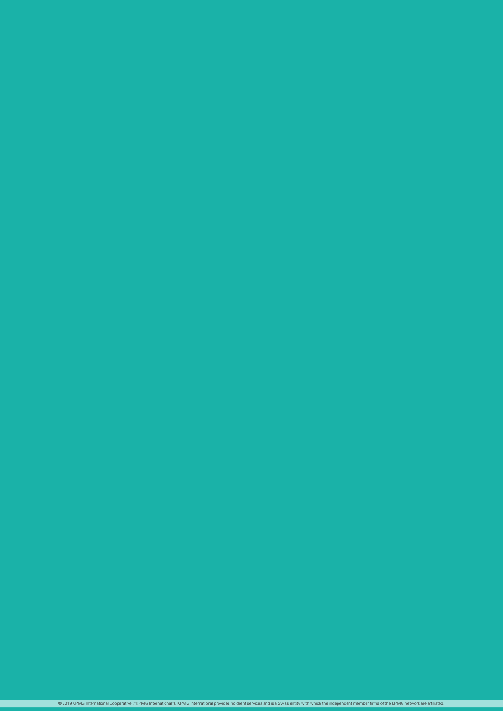© 2019 KPMG International Cooperative ("KPMG International"). KPMG International provides no client services and is a Swiss entity with which the independent member firms of the KPMG network are affiliated.